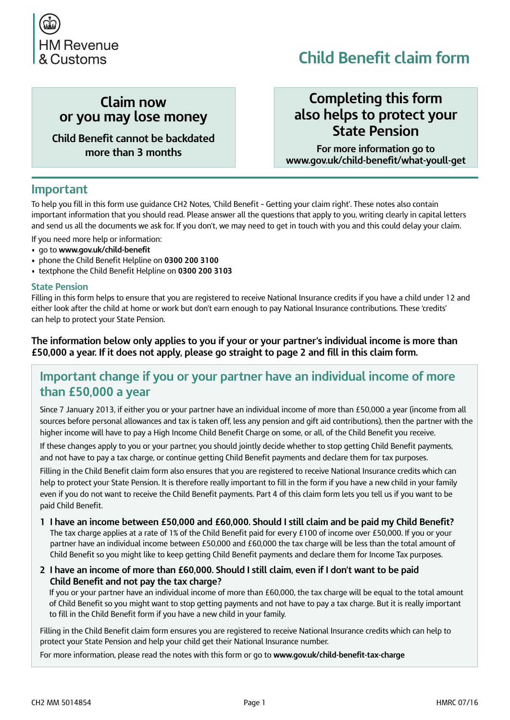

# **Child Benefit claim form**

### **Claim now or you may lose money**

**Child Benefit cannot be backdated more than 3 months**

### **Completing this form also helps to protect your State Pension**

**For more information go to [www.gov.uk/child-benefit/what-youll-get](https://www.gov.uk/child-benefit/what-youll-get)**

#### **Important**

To help you fill in this form use guidance CH2 Notes, 'Child Benefit – Getting your claim right'. These notes also contain important information that you should read. Please answer all the questions that apply to you, writing clearly in capital letters and send us all the documents we ask for. If you don't, we may need to get in touch with you and this could delay your claim.

- If you need more help or information:
- go to **[www.gov.uk/child-benefit](https://www.gov.uk/child-benefit)**
- **•** phone the Child Benefit Helpline on **0300 200 3100**
- textphone the Child Benefit Helpline on **0300 200 3103**

#### **State Pension**

Filling in this form helps to ensure that you are registered to receive National Insurance credits if you have a child under 12 and either look after the child at home or work but don't earn enough to pay National Insurance contributions. These 'credits' can help to protect your State Pension.

#### **The information below only applies to you if your or your partner's individual income is more than £50,000 a year. If it does not apply, please go straight to page 2 and fill in this claim form.**

#### **Important change if you or your partner have an individual income of more than £50,000 a year**

Since 7 January 2013, if either you or your partner have an individual income of more than £50,000 a year (income from all sources before personal allowances and tax is taken off, less any pension and gift aid contributions), then the partner with the higher income will have to pay a High Income Child Benefit Charge on some, or all, of the Child Benefit you receive.

If these changes apply to you or your partner, you should jointly decide whether to stop getting Child Benefit payments, and not have to pay a tax charge, or continue getting Child Benefit payments and declare them for tax purposes.

Filling in the Child Benefit claim form also ensures that you are registered to receive National Insurance credits which can help to protect your State Pension. It is therefore really important to fill in the form if you have a new child in your family even if you do not want to receive the Child Benefit payments. Part 4 of this claim form lets you tell us if you want to be paid Child Benefit.

- **1 I have an income between £50,000 and £60,000. Should I still claim and be paid my Child Benefit?** The tax charge applies at a rate of 1% of the Child Benefit paid for every £100 of income over £50,000. If you or your partner have an individual income between £50,000 and £60,000 the tax charge will be less than the total amount of Child Benefit so you might like to keep getting Child Benefit payments and declare them for Income Tax purposes.
- **2 I have an income of more than £60,000. Should I still claim, even if I don't want to be paid Child Benefit and not pay the tax charge?**

If you or your partner have an individual income of more than £60,000, the tax charge will be equal to the total amount of Child Benefit so you might want to stop getting payments and not have to pay a tax charge. But it is really important to fill in the Child Benefit form if you have a new child in your family.

Filling in the Child Benefit claim form ensures you are registered to receive National Insurance credits which can help to protect your State Pension and help your child get their National Insurance number.

For more information, please read the notes with this form or go to **[www.gov.uk/child-benefit-tax-charge](https://www.gov.uk/child-benefit-tax-charge)**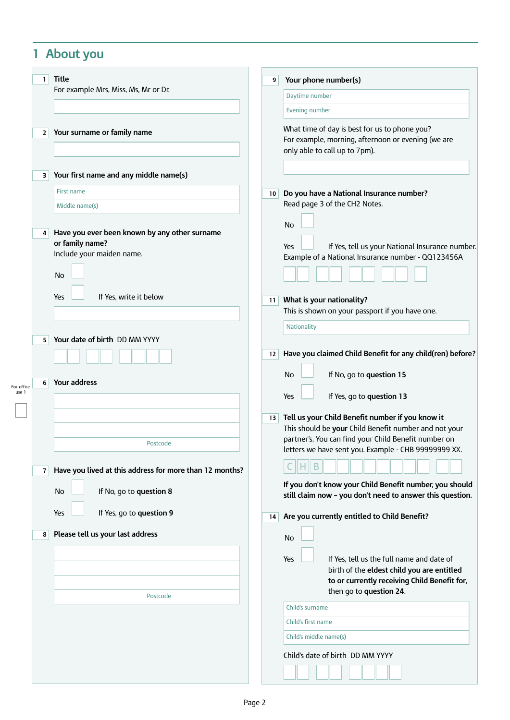# **1 About you**

|                     | $\mathbf{1}$   | <b>Title</b>                                                                                        | 9               | Your phone number(s)                                                                                                                                                                                                      |
|---------------------|----------------|-----------------------------------------------------------------------------------------------------|-----------------|---------------------------------------------------------------------------------------------------------------------------------------------------------------------------------------------------------------------------|
|                     |                | For example Mrs, Miss, Ms, Mr or Dr.                                                                |                 | Daytime number                                                                                                                                                                                                            |
|                     |                |                                                                                                     |                 | Evening number                                                                                                                                                                                                            |
|                     | $\mathbf{2}$   | Your surname or family name                                                                         |                 | What time of day is best for us to phone you?<br>For example, morning, afternoon or evening (we are<br>only able to call up to 7pm).                                                                                      |
|                     | 3              | Your first name and any middle name(s)                                                              |                 |                                                                                                                                                                                                                           |
|                     |                | First name                                                                                          | 10 <sup>1</sup> | Do you have a National Insurance number?                                                                                                                                                                                  |
|                     |                | Middle name(s)                                                                                      |                 | Read page 3 of the CH2 Notes.                                                                                                                                                                                             |
|                     | 4              | Have you ever been known by any other surname<br>or family name?<br>Include your maiden name.<br>No |                 | No<br>If Yes, tell us your National Insurance number.<br>Yes<br>Example of a National Insurance number - QQ123456A                                                                                                        |
|                     |                |                                                                                                     |                 |                                                                                                                                                                                                                           |
|                     |                | If Yes, write it below<br>Yes                                                                       | 11              | What is your nationality?<br>This is shown on your passport if you have one.                                                                                                                                              |
|                     |                |                                                                                                     |                 | Nationality                                                                                                                                                                                                               |
|                     | 5              | Your date of birth DD MM YYYY                                                                       |                 |                                                                                                                                                                                                                           |
|                     |                |                                                                                                     | 12              | Have you claimed Child Benefit for any child(ren) before?                                                                                                                                                                 |
|                     | 6              | Your address                                                                                        |                 | If No, go to question 15<br>No                                                                                                                                                                                            |
| For office<br>use 1 |                |                                                                                                     |                 | If Yes, go to question 13<br>Yes                                                                                                                                                                                          |
|                     |                | Postcode                                                                                            | 13              | Tell us your Child Benefit number if you know it<br>This should be your Child Benefit number and not your<br>partner's. You can find your Child Benefit number on<br>letters we have sent you. Example - CHB 99999999 XX. |
|                     | 7 <sup>1</sup> | Have you lived at this address for more than 12 months?                                             |                 |                                                                                                                                                                                                                           |
|                     |                | If No, go to question 8<br>No                                                                       |                 | If you don't know your Child Benefit number, you should<br>still claim now - you don't need to answer this question.                                                                                                      |
|                     |                | If Yes, go to question 9<br>Yes                                                                     | 14              | Are you currently entitled to Child Benefit?                                                                                                                                                                              |
|                     | 8              | Please tell us your last address                                                                    |                 | No                                                                                                                                                                                                                        |
|                     |                |                                                                                                     |                 |                                                                                                                                                                                                                           |
|                     |                |                                                                                                     |                 | If Yes, tell us the full name and date of<br>Yes<br>birth of the eldest child you are entitled                                                                                                                            |
|                     |                |                                                                                                     |                 | to or currently receiving Child Benefit for,<br>then go to question 24.                                                                                                                                                   |
|                     |                | Postcode                                                                                            |                 | Child's surname                                                                                                                                                                                                           |
|                     |                |                                                                                                     |                 | Child's first name                                                                                                                                                                                                        |
|                     |                |                                                                                                     |                 | Child's middle name(s)                                                                                                                                                                                                    |
|                     |                |                                                                                                     |                 | Child's date of birth DD MM YYYY                                                                                                                                                                                          |
|                     |                |                                                                                                     |                 |                                                                                                                                                                                                                           |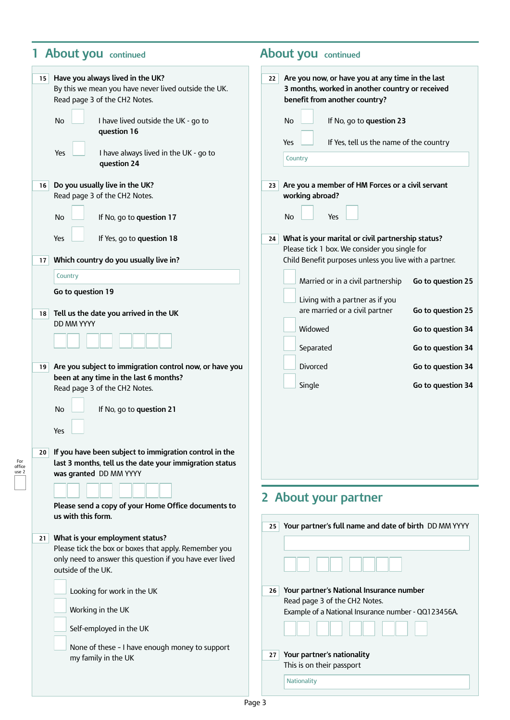### **1 About you continued About you continued**

For office use 2

| Have you always lived in the UK?<br>15<br>By this we mean you have never lived outside the UK.<br>Read page 3 of the CH2 Notes.<br>No<br>I have lived outside the UK - go to | Are you now, or have you at any time in the last<br>22<br>3 months, worked in another country or received<br>benefit from another country?<br>If No, go to question 23<br>No |
|------------------------------------------------------------------------------------------------------------------------------------------------------------------------------|------------------------------------------------------------------------------------------------------------------------------------------------------------------------------|
| question 16                                                                                                                                                                  |                                                                                                                                                                              |
| Yes<br>I have always lived in the UK - go to<br>question 24                                                                                                                  | If Yes, tell us the name of the country<br>Yes<br>Country                                                                                                                    |
| Do you usually live in the UK?<br>16                                                                                                                                         | Are you a member of HM Forces or a civil servant<br>23                                                                                                                       |
| Read page 3 of the CH2 Notes.                                                                                                                                                | working abroad?                                                                                                                                                              |
| No<br>If No, go to question 17                                                                                                                                               | No<br>Yes                                                                                                                                                                    |
| Yes<br>If Yes, go to question 18                                                                                                                                             | What is your marital or civil partnership status?<br>24<br>Please tick 1 box. We consider you single for                                                                     |
| Which country do you usually live in?<br>17                                                                                                                                  | Child Benefit purposes unless you live with a partner.                                                                                                                       |
| Country                                                                                                                                                                      | Married or in a civil partnership<br>Go to question 25                                                                                                                       |
| Go to question 19                                                                                                                                                            | Living with a partner as if you                                                                                                                                              |
| Tell us the date you arrived in the UK<br>18                                                                                                                                 | are married or a civil partner<br>Go to question 25                                                                                                                          |
| DD MM YYYY                                                                                                                                                                   | Widowed<br>Go to question 34                                                                                                                                                 |
|                                                                                                                                                                              | Go to question 34<br>Separated                                                                                                                                               |
| Are you subject to immigration control now, or have you<br>19 <sup>1</sup>                                                                                                   | Divorced<br>Go to question 34                                                                                                                                                |
| been at any time in the last 6 months?<br>Read page 3 of the CH2 Notes.                                                                                                      | Go to question 34<br>Single                                                                                                                                                  |
|                                                                                                                                                                              |                                                                                                                                                                              |
| If No, go to question 21<br>No                                                                                                                                               |                                                                                                                                                                              |
| Yes                                                                                                                                                                          |                                                                                                                                                                              |
| If you have been subject to immigration control in the<br>20 <sub>1</sub><br>last 3 months, tell us the date your immigration status<br>was granted DD MM YYYY               |                                                                                                                                                                              |
|                                                                                                                                                                              |                                                                                                                                                                              |
| Please send a copy of your Home Office documents to                                                                                                                          | 2 About your partner                                                                                                                                                         |
| us with this form.                                                                                                                                                           | Your partner's full name and date of birth DD MM YYYY<br>25                                                                                                                  |
| What is your employment status?<br>21                                                                                                                                        |                                                                                                                                                                              |
| Please tick the box or boxes that apply. Remember you<br>only need to answer this question if you have ever lived                                                            |                                                                                                                                                                              |
| outside of the UK.                                                                                                                                                           |                                                                                                                                                                              |
| Looking for work in the UK                                                                                                                                                   | Your partner's National Insurance number<br>26                                                                                                                               |
| Working in the UK                                                                                                                                                            | Read page 3 of the CH2 Notes.<br>Example of a National Insurance number - QQ123456A.                                                                                         |
| Self-employed in the UK                                                                                                                                                      |                                                                                                                                                                              |
| None of these - I have enough money to support<br>my family in the UK                                                                                                        | Your partner's nationality<br>27<br>This is on their passport                                                                                                                |

Page 3

**Nationality**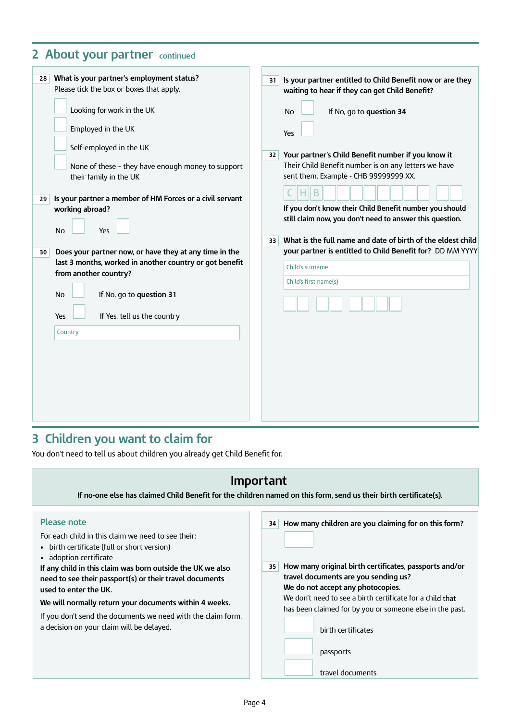# **2 About your partner continued**

| What is your partner's employment status?<br>28<br>Please tick the box or boxes that apply.<br>Looking for work in the UK<br>Employed in the UK<br>Self-employed in the UK<br>None of these - they have enough money to support<br>their family in the UK<br>Is your partner a member of HM Forces or a civil servant<br>29<br>working abroad?<br><b>No</b><br>Yes<br>Does your partner now, or have they at any time in the<br>30<br>last 3 months, worked in another country or got benefit<br>from another country?<br><b>No</b><br>If No, go to question 31<br>If Yes, tell us the country<br>Yes<br>Country | Is your partner entitled to Child Benefit now or are they<br>31<br>waiting to hear if they can get Child Benefit?<br>If No, go to question 34<br><b>No</b><br>Yes<br>Your partner's Child Benefit number if you know it<br>32<br>Their Child Benefit number is on any letters we have<br>sent them. Example - CHB 99999999 XX.<br>If you don't know their Child Benefit number you should<br>still claim now, you don't need to answer this question.<br>What is the full name and date of birth of the eldest child<br>33<br>your partner is entitled to Child Benefit for? DD MM YYYY<br>Child's surname<br>Child's first name(s) |
|------------------------------------------------------------------------------------------------------------------------------------------------------------------------------------------------------------------------------------------------------------------------------------------------------------------------------------------------------------------------------------------------------------------------------------------------------------------------------------------------------------------------------------------------------------------------------------------------------------------|-------------------------------------------------------------------------------------------------------------------------------------------------------------------------------------------------------------------------------------------------------------------------------------------------------------------------------------------------------------------------------------------------------------------------------------------------------------------------------------------------------------------------------------------------------------------------------------------------------------------------------------|
|------------------------------------------------------------------------------------------------------------------------------------------------------------------------------------------------------------------------------------------------------------------------------------------------------------------------------------------------------------------------------------------------------------------------------------------------------------------------------------------------------------------------------------------------------------------------------------------------------------------|-------------------------------------------------------------------------------------------------------------------------------------------------------------------------------------------------------------------------------------------------------------------------------------------------------------------------------------------------------------------------------------------------------------------------------------------------------------------------------------------------------------------------------------------------------------------------------------------------------------------------------------|

# **3 Children you want to claim for**

You don't need to tell us about children you already get Child Benefit for.

| Important<br>If no-one else has claimed Child Benefit for the children named on this form, send us their birth certificate(s).                                                                                                                                                                                                                                                                                                                                             |                                                                                                                                                                                                                                                                                                                                                                                         |  |
|----------------------------------------------------------------------------------------------------------------------------------------------------------------------------------------------------------------------------------------------------------------------------------------------------------------------------------------------------------------------------------------------------------------------------------------------------------------------------|-----------------------------------------------------------------------------------------------------------------------------------------------------------------------------------------------------------------------------------------------------------------------------------------------------------------------------------------------------------------------------------------|--|
|                                                                                                                                                                                                                                                                                                                                                                                                                                                                            |                                                                                                                                                                                                                                                                                                                                                                                         |  |
| <b>Please note</b><br>For each child in this claim we need to see their:<br>• birth certificate (full or short version)<br>• adoption certificate<br>If any child in this claim was born outside the UK we also<br>need to see their passport(s) or their travel documents<br>used to enter the UK.<br>We will normally return your documents within 4 weeks.<br>If you don't send the documents we need with the claim form,<br>a decision on your claim will be delayed. | How many children are you claiming for on this form?<br>34<br>How many original birth certificates, passports and/or<br>35<br>travel documents are you sending us?<br>We do not accept any photocopies.<br>We don't need to see a birth certificate for a child that<br>has been claimed for by you or someone else in the past.<br>birth certificates<br>passports<br>travel documents |  |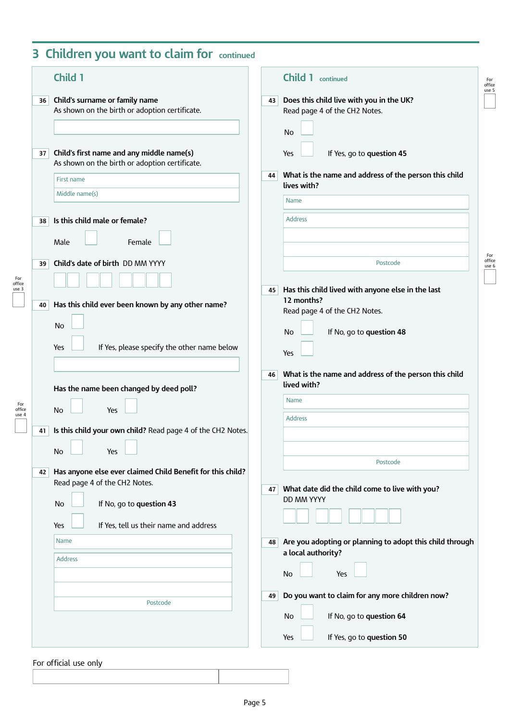# **3 Children you want to claim for continued**

|    | Child 1                                                                                     | <b>Child 1</b> continued                                                                     |
|----|---------------------------------------------------------------------------------------------|----------------------------------------------------------------------------------------------|
| 36 | Child's surname or family name<br>As shown on the birth or adoption certificate.            | Does this child live with you in the UK?<br>43<br>Read page 4 of the CH2 Notes.<br><b>No</b> |
| 37 | Child's first name and any middle name(s)<br>As shown on the birth or adoption certificate. | If Yes, go to question 45<br>Yes                                                             |
|    | First name<br>Middle name(s)                                                                | What is the name and address of the person this child<br>44<br>lives with?                   |
|    |                                                                                             | Name                                                                                         |
| 38 | Is this child male or female?<br>Female<br>Male                                             | <b>Address</b>                                                                               |
| 39 | Child's date of birth DD MM YYYY                                                            | Postcode                                                                                     |
| 40 | Has this child ever been known by any other name?                                           | Has this child lived with anyone else in the last<br>45<br>12 months?                        |
|    | No                                                                                          | Read page 4 of the CH2 Notes.<br>If No, go to question 48<br>No                              |
|    | If Yes, please specify the other name below<br>Yes                                          | Yes                                                                                          |
|    | Has the name been changed by deed poll?                                                     | What is the name and address of the person this child<br>46<br>lived with?                   |
|    | <b>No</b><br>Yes                                                                            | Name<br><b>Address</b>                                                                       |
| 41 | Is this child your own child? Read page 4 of the CH2 Notes.                                 |                                                                                              |
|    | No<br><u>a kasa</u><br>Yes                                                                  | Postcode                                                                                     |
| 42 | Has anyone else ever claimed Child Benefit for this child?<br>Read page 4 of the CH2 Notes. | What date did the child come to live with you?<br>47                                         |
|    | If No, go to question 43<br>No                                                              | DD MM YYYY                                                                                   |
|    | If Yes, tell us their name and address<br>Yes                                               |                                                                                              |
|    | Name<br><b>Address</b>                                                                      | Are you adopting or planning to adopt this child through<br>48<br>a local authority?         |
|    |                                                                                             | Yes<br>No                                                                                    |
|    |                                                                                             | Do you want to claim for any more children now?<br>49                                        |
|    | Postcode                                                                                    |                                                                                              |
|    |                                                                                             | If No, go to question 64<br>No<br>If Yes, go to question 50<br>Yes                           |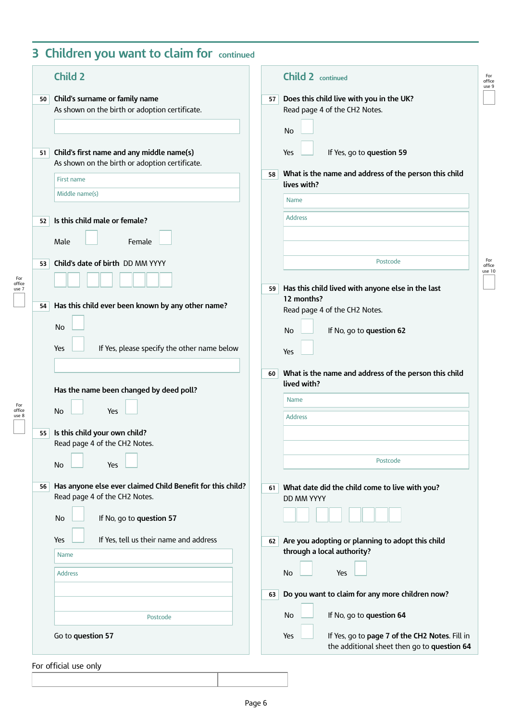# **3 Children you want to claim for continued**

| Child's surname or family name<br>Does this child live with you in the UK?<br>50<br>57<br>As shown on the birth or adoption certificate.<br>Read page 4 of the CH2 Notes.<br><b>No</b><br>Child's first name and any middle name(s)<br>If Yes, go to question 59<br>Yes<br>51<br>As shown on the birth or adoption certificate.<br>What is the name and address of the person this child<br>58<br><b>First name</b><br>lives with?<br>Middle name(s)<br>Name<br><b>Address</b><br>Is this child male or female?<br>52<br>Male<br>Female<br>Postcode<br>Child's date of birth DD MM YYYY<br>53<br>Has this child lived with anyone else in the last<br>59<br>12 months?<br>Has this child ever been known by any other name?<br>54<br>Read page 4 of the CH2 Notes.<br>No<br>If No, go to question 62<br>No<br>If Yes, please specify the other name below<br>Yes<br>Yes<br>What is the name and address of the person this child<br>60<br>lived with?<br>Has the name been changed by deed poll?<br>Name<br><b>No</b><br>Yes<br><b>Address</b><br>Is this child your own child?<br>55<br>Read page 4 of the CH2 Notes.<br>Postcode<br>No<br>Yes<br>Has anyone else ever claimed Child Benefit for this child?<br>56<br>What date did the child come to live with you?<br>61<br>Read page 4 of the CH2 Notes.<br><b>DD MM YYYY</b><br>If No, go to question 57<br>No<br>If Yes, tell us their name and address<br>Yes<br>Are you adopting or planning to adopt this child<br>62<br>through a local authority?<br>Name<br><b>No</b><br>Yes<br><b>Address</b><br>Do you want to claim for any more children now?<br>63<br>If No, go to question 64<br>No<br>Postcode | <b>Child 2</b> | <b>Child 2</b> continued |
|-------------------------------------------------------------------------------------------------------------------------------------------------------------------------------------------------------------------------------------------------------------------------------------------------------------------------------------------------------------------------------------------------------------------------------------------------------------------------------------------------------------------------------------------------------------------------------------------------------------------------------------------------------------------------------------------------------------------------------------------------------------------------------------------------------------------------------------------------------------------------------------------------------------------------------------------------------------------------------------------------------------------------------------------------------------------------------------------------------------------------------------------------------------------------------------------------------------------------------------------------------------------------------------------------------------------------------------------------------------------------------------------------------------------------------------------------------------------------------------------------------------------------------------------------------------------------------------------------------------------------------------------------------------------|----------------|--------------------------|
|                                                                                                                                                                                                                                                                                                                                                                                                                                                                                                                                                                                                                                                                                                                                                                                                                                                                                                                                                                                                                                                                                                                                                                                                                                                                                                                                                                                                                                                                                                                                                                                                                                                                   |                |                          |
|                                                                                                                                                                                                                                                                                                                                                                                                                                                                                                                                                                                                                                                                                                                                                                                                                                                                                                                                                                                                                                                                                                                                                                                                                                                                                                                                                                                                                                                                                                                                                                                                                                                                   |                |                          |
|                                                                                                                                                                                                                                                                                                                                                                                                                                                                                                                                                                                                                                                                                                                                                                                                                                                                                                                                                                                                                                                                                                                                                                                                                                                                                                                                                                                                                                                                                                                                                                                                                                                                   |                |                          |
|                                                                                                                                                                                                                                                                                                                                                                                                                                                                                                                                                                                                                                                                                                                                                                                                                                                                                                                                                                                                                                                                                                                                                                                                                                                                                                                                                                                                                                                                                                                                                                                                                                                                   |                |                          |
|                                                                                                                                                                                                                                                                                                                                                                                                                                                                                                                                                                                                                                                                                                                                                                                                                                                                                                                                                                                                                                                                                                                                                                                                                                                                                                                                                                                                                                                                                                                                                                                                                                                                   |                |                          |
|                                                                                                                                                                                                                                                                                                                                                                                                                                                                                                                                                                                                                                                                                                                                                                                                                                                                                                                                                                                                                                                                                                                                                                                                                                                                                                                                                                                                                                                                                                                                                                                                                                                                   |                |                          |
|                                                                                                                                                                                                                                                                                                                                                                                                                                                                                                                                                                                                                                                                                                                                                                                                                                                                                                                                                                                                                                                                                                                                                                                                                                                                                                                                                                                                                                                                                                                                                                                                                                                                   |                |                          |
|                                                                                                                                                                                                                                                                                                                                                                                                                                                                                                                                                                                                                                                                                                                                                                                                                                                                                                                                                                                                                                                                                                                                                                                                                                                                                                                                                                                                                                                                                                                                                                                                                                                                   |                |                          |
|                                                                                                                                                                                                                                                                                                                                                                                                                                                                                                                                                                                                                                                                                                                                                                                                                                                                                                                                                                                                                                                                                                                                                                                                                                                                                                                                                                                                                                                                                                                                                                                                                                                                   |                |                          |
|                                                                                                                                                                                                                                                                                                                                                                                                                                                                                                                                                                                                                                                                                                                                                                                                                                                                                                                                                                                                                                                                                                                                                                                                                                                                                                                                                                                                                                                                                                                                                                                                                                                                   |                |                          |
|                                                                                                                                                                                                                                                                                                                                                                                                                                                                                                                                                                                                                                                                                                                                                                                                                                                                                                                                                                                                                                                                                                                                                                                                                                                                                                                                                                                                                                                                                                                                                                                                                                                                   |                |                          |
|                                                                                                                                                                                                                                                                                                                                                                                                                                                                                                                                                                                                                                                                                                                                                                                                                                                                                                                                                                                                                                                                                                                                                                                                                                                                                                                                                                                                                                                                                                                                                                                                                                                                   |                |                          |
|                                                                                                                                                                                                                                                                                                                                                                                                                                                                                                                                                                                                                                                                                                                                                                                                                                                                                                                                                                                                                                                                                                                                                                                                                                                                                                                                                                                                                                                                                                                                                                                                                                                                   |                |                          |
|                                                                                                                                                                                                                                                                                                                                                                                                                                                                                                                                                                                                                                                                                                                                                                                                                                                                                                                                                                                                                                                                                                                                                                                                                                                                                                                                                                                                                                                                                                                                                                                                                                                                   |                |                          |
|                                                                                                                                                                                                                                                                                                                                                                                                                                                                                                                                                                                                                                                                                                                                                                                                                                                                                                                                                                                                                                                                                                                                                                                                                                                                                                                                                                                                                                                                                                                                                                                                                                                                   |                |                          |
|                                                                                                                                                                                                                                                                                                                                                                                                                                                                                                                                                                                                                                                                                                                                                                                                                                                                                                                                                                                                                                                                                                                                                                                                                                                                                                                                                                                                                                                                                                                                                                                                                                                                   |                |                          |
|                                                                                                                                                                                                                                                                                                                                                                                                                                                                                                                                                                                                                                                                                                                                                                                                                                                                                                                                                                                                                                                                                                                                                                                                                                                                                                                                                                                                                                                                                                                                                                                                                                                                   |                |                          |
|                                                                                                                                                                                                                                                                                                                                                                                                                                                                                                                                                                                                                                                                                                                                                                                                                                                                                                                                                                                                                                                                                                                                                                                                                                                                                                                                                                                                                                                                                                                                                                                                                                                                   |                |                          |
|                                                                                                                                                                                                                                                                                                                                                                                                                                                                                                                                                                                                                                                                                                                                                                                                                                                                                                                                                                                                                                                                                                                                                                                                                                                                                                                                                                                                                                                                                                                                                                                                                                                                   |                |                          |
| Go to question 57<br>If Yes, go to page 7 of the CH2 Notes. Fill in<br>Yes                                                                                                                                                                                                                                                                                                                                                                                                                                                                                                                                                                                                                                                                                                                                                                                                                                                                                                                                                                                                                                                                                                                                                                                                                                                                                                                                                                                                                                                                                                                                                                                        |                |                          |

For official use only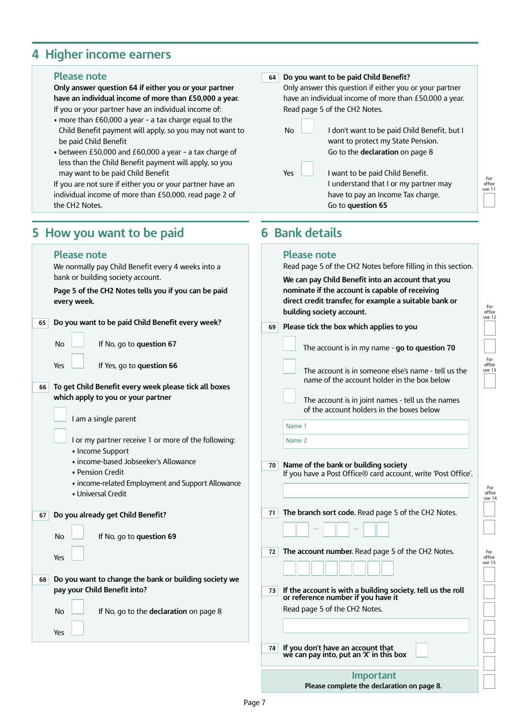#### **4 Higher income earners**

#### **Please note**

**Please note**

**5 How you want to be paid**

**Only answer question 64 if either you or your partner have an individual income of more than £50,000 a year.** If you or your partner have an individual income of:

- more than £60,000 a year a tax charge equal to the Child Benefit payment will apply, so you may not want to be paid Child Benefit
- between £50,000 and £60,000 a year a tax charge of less than the Child Benefit payment will apply, so you may want to be paid Child Benefit

If you are not sure if either you or your partner have an individual income of more than £50,000, read page 2 of the CH2 Notes.

#### **Do you want to be paid Child Benefit? 64**

Only answer this question if either you or your partner have an individual income of more than £50,000 a year. Read page 5 of the CH2 Notes.

No **I** don't want to be paid Child Benefit, but I want to protect my State Pension. Go to the **declaration** on page 8  $Yes \quad \boxed{\qquad}$  I want to be paid Child Benefit. I understand that I or my partner may have to pay an Income Tax charge.

Go to **question 65**

#### **6 Bank details**

#### **Please note**

| We normally pay Child Benefit every 4 weeks into a                                                                                                                                                                                                                                                                                                        | Read page 5 of the CH2 Notes before filling in this section                                                                                                                                                                                                                                                                             |
|-----------------------------------------------------------------------------------------------------------------------------------------------------------------------------------------------------------------------------------------------------------------------------------------------------------------------------------------------------------|-----------------------------------------------------------------------------------------------------------------------------------------------------------------------------------------------------------------------------------------------------------------------------------------------------------------------------------------|
| bank or building society account.<br>Page 5 of the CH2 Notes tells you if you can be paid<br>every week.                                                                                                                                                                                                                                                  | We can pay Child Benefit into an account that you<br>nominate if the account is capable of receiving<br>direct credit transfer, for example a suitable bank or<br>building society account.                                                                                                                                             |
| Do you want to be paid Child Benefit every week?<br>65                                                                                                                                                                                                                                                                                                    | Please tick the box which applies to you<br>69                                                                                                                                                                                                                                                                                          |
| No<br>If No, go to question 67                                                                                                                                                                                                                                                                                                                            | The account is in my name - go to question 70                                                                                                                                                                                                                                                                                           |
| Yes<br>If Yes, go to question 66<br>To get Child Benefit every week please tick all boxes<br>66<br>which apply to you or your partner<br>I am a single parent<br>I or my partner receive 1 or more of the following:<br>• Income Support<br>· income-based Jobseeker's Allowance<br>• Pension Credit<br>• income-related Employment and Support Allowance | The account is in someone else's name - tell us the<br>name of the account holder in the box below<br>The account is in joint names - tell us the names<br>of the account holders in the boxes below<br>Name 1<br>Name 2<br>Name of the bank or building society<br>70<br>If you have a Post Office® card account, write 'Post Office'. |
| • Universal Credit                                                                                                                                                                                                                                                                                                                                        | The branch sort code. Read page 5 of the CH2 Notes.<br>71                                                                                                                                                                                                                                                                               |
| Do you already get Child Benefit?<br>67<br><b>No</b><br>If No, go to question 69                                                                                                                                                                                                                                                                          |                                                                                                                                                                                                                                                                                                                                         |
| Yes                                                                                                                                                                                                                                                                                                                                                       | The account number. Read page 5 of the CH2 Notes.<br>72                                                                                                                                                                                                                                                                                 |
| Do you want to change the bank or building society we<br>68<br>pay your Child Benefit into?                                                                                                                                                                                                                                                               | If the account is with a building society, tell us the roll<br>or reference number if you have it<br>73                                                                                                                                                                                                                                 |
| No<br>If No, go to the declaration on page 8<br>Yes                                                                                                                                                                                                                                                                                                       | Read page 5 of the CH2 Notes.                                                                                                                                                                                                                                                                                                           |
|                                                                                                                                                                                                                                                                                                                                                           | If you don't have an account that<br>we can pay into, put an 'X' in this box<br>74                                                                                                                                                                                                                                                      |
|                                                                                                                                                                                                                                                                                                                                                           | <b>Important</b>                                                                                                                                                                                                                                                                                                                        |

**Please complete the declaration on page 8.**

For office use 12

For office use 13

For office use 14

For office use 15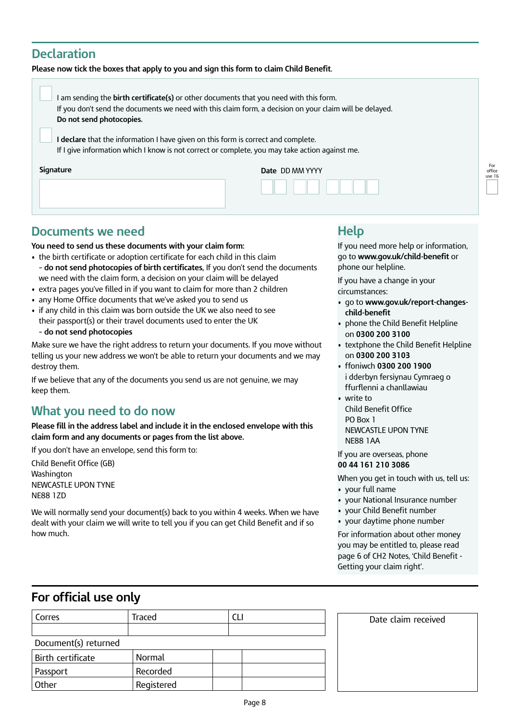#### **Declaration**

#### **Please now tick the boxes that apply to you and sign this form to claim Child Benefit**.

| I am sending the birth certificate(s) or other documents that you need with this form.<br>If you don't send the documents we need with this claim form, a decision on your claim will be delayed.<br>Do not send photocopies. |                 |                     |
|-------------------------------------------------------------------------------------------------------------------------------------------------------------------------------------------------------------------------------|-----------------|---------------------|
| I declare that the information I have given on this form is correct and complete.<br>If I give information which I know is not correct or complete, you may take action against me.                                           |                 |                     |
| Signature                                                                                                                                                                                                                     | Date DD MM YYYY | For<br>offic<br>use |
|                                                                                                                                                                                                                               |                 |                     |

### **Documents we need**

**You need to send us these documents with your claim form:**

- the birth certificate or adoption certificate for each child in this claim – **do not send photocopies of birth certificates,** If you don't send the documents we need with the claim form, a decision on your claim will be delayed
- extra pages you've filled in if you want to claim for more than 2 children
- any Home Office documents that we've asked you to send us
- if any child in this claim was born outside the UK we also need to see their passport(s) or their travel documents used to enter the UK
	- **do not send photocopies**

Make sure we have the right address to return your documents. If you move without telling us your new address we won't be able to return your documents and we may destroy them.

If we believe that any of the documents you send us are not genuine, we may keep them.

### **What you need to do now**

**Please fill in the address label and include it in the enclosed envelope with this claim form and any documents or pages from the list above.** 

If you don't have an envelope, send this form to:

Child Benefit Office (GB) Washington NEWCASTLE UPON TYNE NE88 1ZD

We will normally send your document(s) back to you within 4 weeks. When we have dealt with your claim we will write to tell you if you can get Child Benefit and if so how much.

### **Help**

If you need more help or information, go to **[www.gov.uk/child-benefit](https://www.gov.uk/child-benefit)** or phone our helpline.

office use 16

If you have a change in your circumstances:

- go to **[www.gov.uk/report-changes](https://www.gov.uk/report-changes-child-benefit)[child-benefit](https://www.gov.uk/report-changes-child-benefit)**
- phone the Child Benefit Helpline on **0300 200 3100**
- textphone the Child Benefit Helpline on **0300 200 3103**
- ffoniwch **0300 200 1900** i dderbyn fersiynau Cymraeg o ffurflenni a chanllawiau
- write to Child Benefit Office PO Box 1 NEWCASTLE UPON TYNE NE88 1AA

If you are overseas, phone **00 44 161 210 3086** 

When you get in touch with us, tell us: • your full name

- your National Insurance number
- your Child Benefit number
- your daytime phone number

For information about other money you may be entitled to, please read page 6 of CH2 Notes, 'Child Benefit - Getting your claim right'.

Date claim received

#### **For official use only**

| Corres               | Traced     |  |
|----------------------|------------|--|
|                      |            |  |
| Document(s) returned |            |  |
| Birth certificate    | Normal     |  |
| Passport             | Recorded   |  |
| Other                | Registered |  |